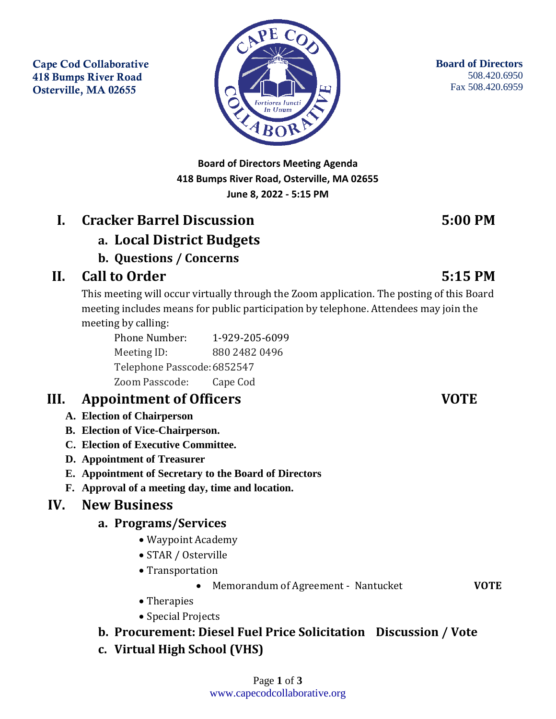Cape Cod Collaborative 418 Bumps River Road Osterville, MA 02655



**Board of Directors** 508.420.6950 Fax 508.420.6959

**Board of Directors Meeting Agenda 418 Bumps River Road, Osterville, MA 02655 June 8, 2022 - 5:15 PM**

# **I. Cracker Barrel Discussion 5:00 PM**

## **a. Local District Budgets**

**b. Questions / Concerns**

# **II. Call to Order 5:15 PM**

This meeting will occur virtually through the Zoom application. The posting of this Board meeting includes means for public participation by telephone. Attendees may join the meeting by calling:

Phone Number: 1-929-205-6099 Meeting ID: 880 2482 0496 Telephone Passcode:6852547 Zoom Passcode: Cape Cod

## **III. Appointment of Officers VOTE**

- **A. Election of Chairperson**
- **B. Election of Vice-Chairperson.**
- **C. Election of Executive Committee.**
- **D. Appointment of Treasurer**
- **E. Appointment of Secretary to the Board of Directors**
- **F. Approval of a meeting day, time and location.**

### **IV. New Business**

#### **a. Programs/Services**

- Waypoint Academy
- STAR / Osterville
- Transportation
	- Memorandum of Agreement Nantucket **VOTE**

- Therapies
- Special Projects

### **b. Procurement: Diesel Fuel Price Solicitation Discussion / Vote**

**c. Virtual High School (VHS)**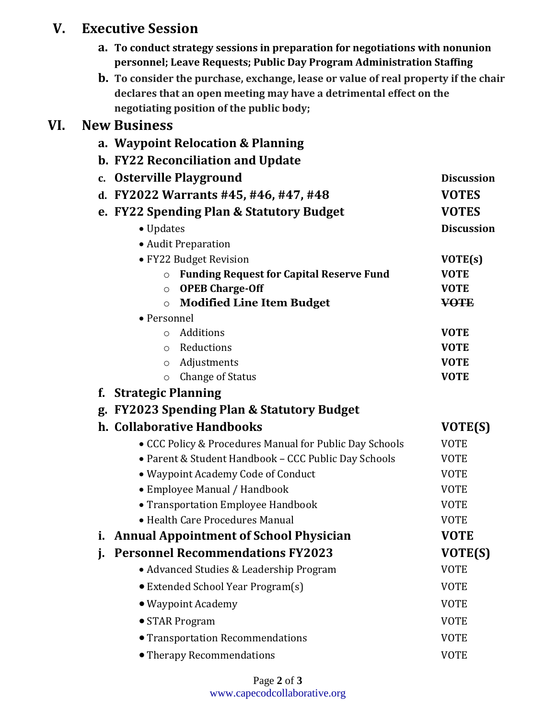## **V. Executive Session**

- **a. To conduct strategy sessions in preparation for negotiations with nonunion personnel; Leave Requests; Public Day Program Administration Staffing**
- **b. To consider the purchase, exchange, lease or value of real property if the chair declares that an open meeting may have a detrimental effect on the negotiating position of the public body;**

## **VI. New Business**

|             | a. Waypoint Relocation & Planning                                        |                            |
|-------------|--------------------------------------------------------------------------|----------------------------|
|             | b. FY22 Reconciliation and Update                                        |                            |
| $c_{\cdot}$ | <b>Osterville Playground</b>                                             | <b>Discussion</b>          |
| d.          | FY2022 Warrants #45, #46, #47, #48                                       | <b>VOTES</b>               |
|             | e. FY22 Spending Plan & Statutory Budget                                 | <b>VOTES</b>               |
|             | • Updates                                                                | <b>Discussion</b>          |
|             | • Audit Preparation                                                      |                            |
|             | • FY22 Budget Revision                                                   | VOTE(s)                    |
|             | <b>Funding Request for Capital Reserve Fund</b><br>$\circ$               | <b>VOTE</b>                |
|             | <b>OPEB Charge-Off</b><br>$\circ$                                        | <b>VOTE</b>                |
|             | <b>Modified Line Item Budget</b><br>$\circ$                              | <b>VOTE</b>                |
|             | • Personnel                                                              |                            |
|             | Additions<br>$\circ$                                                     | <b>VOTE</b>                |
|             | Reductions<br>$\circ$                                                    | <b>VOTE</b><br><b>VOTE</b> |
|             | Adjustments<br>$\circ$<br><b>Change of Status</b>                        | <b>VOTE</b>                |
| f.          | $\circ$<br><b>Strategic Planning</b>                                     |                            |
|             |                                                                          |                            |
|             | g. FY2023 Spending Plan & Statutory Budget<br>h. Collaborative Handbooks |                            |
|             |                                                                          | VOTE(S)                    |
|             | • CCC Policy & Procedures Manual for Public Day Schools                  | <b>VOTE</b>                |
|             | • Parent & Student Handbook - CCC Public Day Schools                     | <b>VOTE</b>                |
|             | · Waypoint Academy Code of Conduct                                       | <b>VOTE</b>                |
|             | • Employee Manual / Handbook                                             | <b>VOTE</b>                |
|             | • Transportation Employee Handbook                                       | <b>VOTE</b>                |
|             | • Health Care Procedures Manual                                          | <b>VOTE</b>                |
|             | i. Annual Appointment of School Physician                                | <b>VOTE</b>                |
| j.          | <b>Personnel Recommendations FY2023</b>                                  | VOTE(S)                    |
|             | • Advanced Studies & Leadership Program                                  | <b>VOTE</b>                |
|             | • Extended School Year Program(s)                                        | <b>VOTE</b>                |
|             | · Waypoint Academy                                                       | <b>VOTE</b>                |
|             | • STAR Program                                                           | <b>VOTE</b>                |
|             | <b>• Transportation Recommendations</b>                                  | <b>VOTE</b>                |
|             | • Therapy Recommendations                                                | <b>VOTE</b>                |